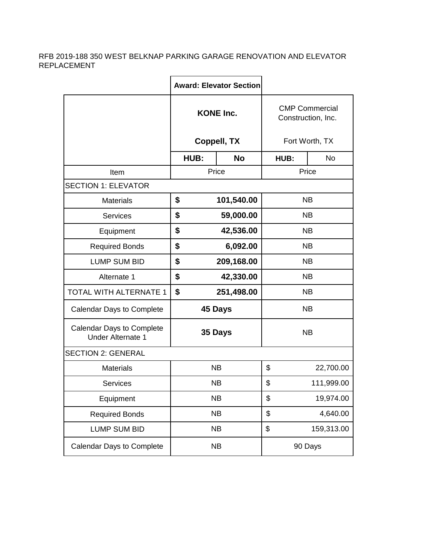## RFB 2019-188 350 WEST BELKNAP PARKING GARAGE RENOVATION AND ELEVATOR REPLACEMENT

|                                                              |                                 | <b>Award: Elevator Section</b> |                                             |           |  |  |  |  |
|--------------------------------------------------------------|---------------------------------|--------------------------------|---------------------------------------------|-----------|--|--|--|--|
|                                                              | <b>KONE Inc.</b><br>Coppell, TX |                                | <b>CMP Commercial</b><br>Construction, Inc. |           |  |  |  |  |
|                                                              |                                 |                                | Fort Worth, TX                              |           |  |  |  |  |
|                                                              | HUB:                            | <b>No</b>                      | HUB:                                        | <b>No</b> |  |  |  |  |
| Item                                                         | Price                           |                                | Price                                       |           |  |  |  |  |
| <b>SECTION 1: ELEVATOR</b>                                   |                                 |                                |                                             |           |  |  |  |  |
| <b>Materials</b>                                             | \$                              | 101,540.00                     | <b>NB</b>                                   |           |  |  |  |  |
| <b>Services</b>                                              | \$                              | 59,000.00                      | NB.                                         |           |  |  |  |  |
| Equipment                                                    | \$                              | 42,536.00                      | <b>NB</b>                                   |           |  |  |  |  |
| <b>Required Bonds</b>                                        | \$                              | 6,092.00                       | <b>NB</b>                                   |           |  |  |  |  |
| <b>LUMP SUM BID</b>                                          | \$                              | 209,168.00                     | <b>NB</b>                                   |           |  |  |  |  |
| Alternate 1                                                  | \$                              | 42,330.00                      | <b>NB</b>                                   |           |  |  |  |  |
| TOTAL WITH ALTERNATE 1                                       | \$                              | 251,498.00                     | <b>NB</b>                                   |           |  |  |  |  |
| <b>Calendar Days to Complete</b>                             |                                 | 45 Days<br><b>NB</b>           |                                             |           |  |  |  |  |
| <b>Calendar Days to Complete</b><br><b>Under Alternate 1</b> |                                 | 35 Days                        | <b>NB</b>                                   |           |  |  |  |  |
| <b>SECTION 2: GENERAL</b>                                    |                                 |                                |                                             |           |  |  |  |  |
| <b>Materials</b>                                             |                                 | <b>NB</b>                      | \$<br>22,700.00                             |           |  |  |  |  |
| Services                                                     |                                 | <b>NB</b>                      | \$<br>111,999.00                            |           |  |  |  |  |
| Equipment                                                    |                                 | <b>NB</b>                      | \$<br>19,974.00                             |           |  |  |  |  |
| <b>Required Bonds</b>                                        |                                 | <b>NB</b>                      | \$<br>4,640.00                              |           |  |  |  |  |
| LUMP SUM BID                                                 |                                 | <b>NB</b>                      | \$<br>159,313.00                            |           |  |  |  |  |
| <b>Calendar Days to Complete</b>                             | <b>NB</b>                       |                                | 90 Days                                     |           |  |  |  |  |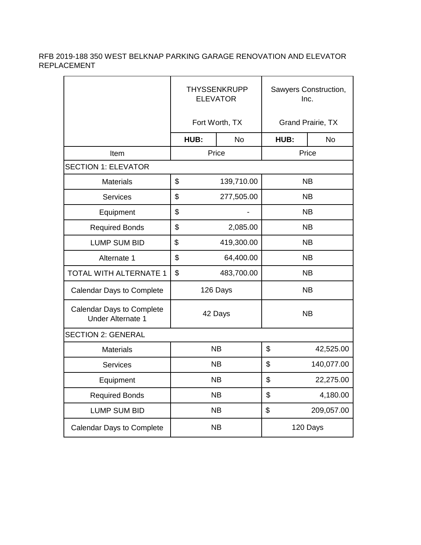## RFB 2019-188 350 WEST BELKNAP PARKING GARAGE RENOVATION AND ELEVATOR REPLACEMENT

|                                                              | <b>THYSSENKRUPP</b><br><b>ELEVATOR</b> |                       | Sawyers Construction,<br>Inc. |                  |           |  |  |  |
|--------------------------------------------------------------|----------------------------------------|-----------------------|-------------------------------|------------------|-----------|--|--|--|
|                                                              | Fort Worth, TX                         |                       | <b>Grand Prairie, TX</b>      |                  |           |  |  |  |
|                                                              |                                        | HUB:                  | <b>No</b>                     | HUB:             | <b>No</b> |  |  |  |
| Item                                                         | Price                                  |                       | Price                         |                  |           |  |  |  |
| <b>SECTION 1: ELEVATOR</b>                                   |                                        |                       |                               |                  |           |  |  |  |
| <b>Materials</b>                                             | \$                                     | 139,710.00            |                               | <b>NB</b>        |           |  |  |  |
| <b>Services</b>                                              | \$                                     | 277,505.00            |                               | <b>NB</b>        |           |  |  |  |
| Equipment                                                    | \$                                     | <b>NB</b>             |                               |                  |           |  |  |  |
| <b>Required Bonds</b>                                        | \$                                     |                       | 2,085.00                      | <b>NB</b>        |           |  |  |  |
| <b>LUMP SUM BID</b>                                          | \$                                     |                       | 419,300.00                    | <b>NB</b>        |           |  |  |  |
| Alternate 1                                                  | \$                                     |                       | 64,400.00                     | <b>NB</b>        |           |  |  |  |
| TOTAL WITH ALTERNATE 1                                       | \$                                     |                       | 483,700.00                    | <b>NB</b>        |           |  |  |  |
| <b>Calendar Days to Complete</b>                             |                                        | 126 Days<br><b>NB</b> |                               |                  |           |  |  |  |
| <b>Calendar Days to Complete</b><br><b>Under Alternate 1</b> |                                        | 42 Days<br><b>NB</b>  |                               |                  |           |  |  |  |
| <b>SECTION 2: GENERAL</b>                                    |                                        |                       |                               |                  |           |  |  |  |
| <b>Materials</b>                                             |                                        | <b>NB</b>             |                               | \$               | 42,525.00 |  |  |  |
| <b>Services</b>                                              |                                        | <b>NB</b>             |                               | \$<br>140,077.00 |           |  |  |  |
| Equipment                                                    |                                        | <b>NB</b>             |                               | \$               | 22,275.00 |  |  |  |
| <b>Required Bonds</b>                                        |                                        | <b>NB</b>             |                               | \$               | 4,180.00  |  |  |  |
| <b>LUMP SUM BID</b>                                          |                                        | <b>NB</b>             |                               | \$<br>209,057.00 |           |  |  |  |
| <b>Calendar Days to Complete</b>                             |                                        | <b>NB</b>             |                               | 120 Days         |           |  |  |  |